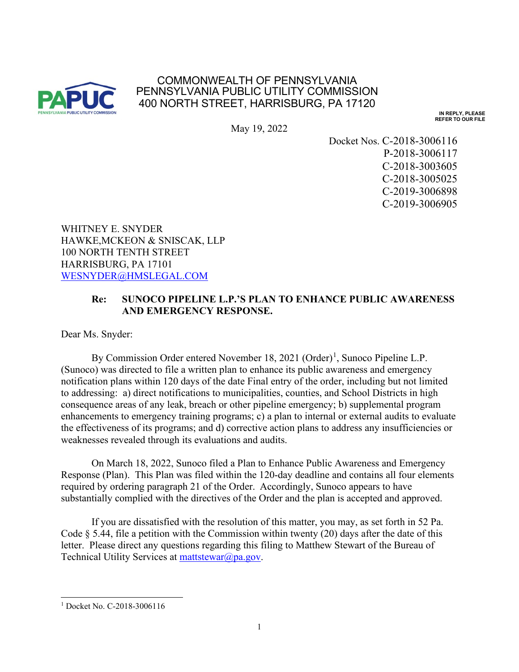

## COMMONWEALTH OF PENNSYLVANIA PENNSYLVANIA PUBLIC UTILITY COMMISSION 400 NORTH STREET, HARRISBURG, PA 17120

**IN REPLY, PLEASE REFER TO OUR FILE**

May 19, 2022

Docket Nos. C-2018-3006116 P-2018-3006117 C-2018-3003605 C-2018-3005025 C-2019-3006898 C-2019-3006905

WHITNEY E. SNYDER HAWKE,MCKEON & SNISCAK, LLP 100 NORTH TENTH STREET HARRISBURG, PA 17101 [WESNYDER@HMSLEGAL.COM](mailto:WESNYDER@HMSLEGAL.COM)

## **Re: SUNOCO PIPELINE L.P.'S PLAN TO ENHANCE PUBLIC AWARENESS AND EMERGENCY RESPONSE.**

Dear Ms. Snyder:

By Commission Order entered November [1](#page-0-0)8, 2021 (Order)<sup>1</sup>, Sunoco Pipeline L.P. (Sunoco) was directed to file a written plan to enhance its public awareness and emergency notification plans within 120 days of the date Final entry of the order, including but not limited to addressing: a) direct notifications to municipalities, counties, and School Districts in high consequence areas of any leak, breach or other pipeline emergency; b) supplemental program enhancements to emergency training programs; c) a plan to internal or external audits to evaluate the effectiveness of its programs; and d) corrective action plans to address any insufficiencies or weaknesses revealed through its evaluations and audits.

On March 18, 2022, Sunoco filed a Plan to Enhance Public Awareness and Emergency Response (Plan). This Plan was filed within the 120-day deadline and contains all four elements required by ordering paragraph 21 of the Order. Accordingly, Sunoco appears to have substantially complied with the directives of the Order and the plan is accepted and approved.

If you are dissatisfied with the resolution of this matter, you may, as set forth in 52 Pa. Code  $\S$  5.44, file a petition with the Commission within twenty (20) days after the date of this letter. Please direct any questions regarding this filing to Matthew Stewart of the Bureau of Technical Utility Services at [mattstewar@pa.gov.](mailto:mattstewar@pa.gov)

<span id="page-0-0"></span><sup>&</sup>lt;sup>1</sup> Docket No. C-2018-3006116